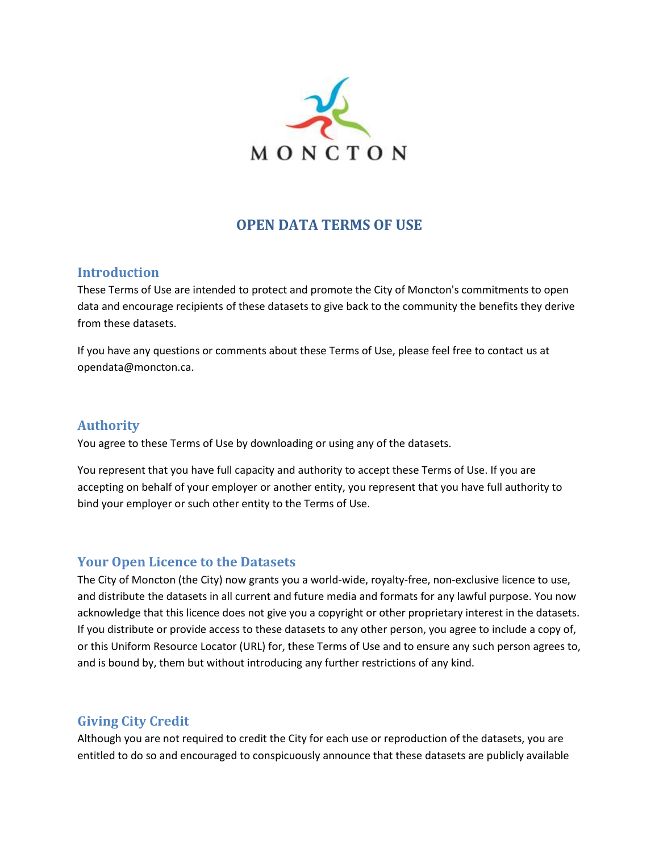

## **OPEN DATA TERMS OF USE**

### **Introduction**

These Terms of Use are intended to protect and promote the City of Moncton's commitments to open data and encourage recipients of these datasets to give back to the community the benefits they derive from these datasets.

If you have any questions or comments about these Terms of Use, please feel free to contact us at opendata@moncton.ca.

#### **Authority**

You agree to these Terms of Use by downloading or using any of the datasets.

You represent that you have full capacity and authority to accept these Terms of Use. If you are accepting on behalf of your employer or another entity, you represent that you have full authority to bind your employer or such other entity to the Terms of Use.

## **Your Open Licence to the Datasets**

The City of Moncton (the City) now grants you a world-wide, royalty-free, non-exclusive licence to use, and distribute the datasets in all current and future media and formats for any lawful purpose. You now acknowledge that this licence does not give you a copyright or other proprietary interest in the datasets. If you distribute or provide access to these datasets to any other person, you agree to include a copy of, or this Uniform Resource Locator (URL) for, these Terms of Use and to ensure any such person agrees to, and is bound by, them but without introducing any further restrictions of any kind.

## **Giving City Credit**

Although you are not required to credit the City for each use or reproduction of the datasets, you are entitled to do so and encouraged to conspicuously announce that these datasets are publicly available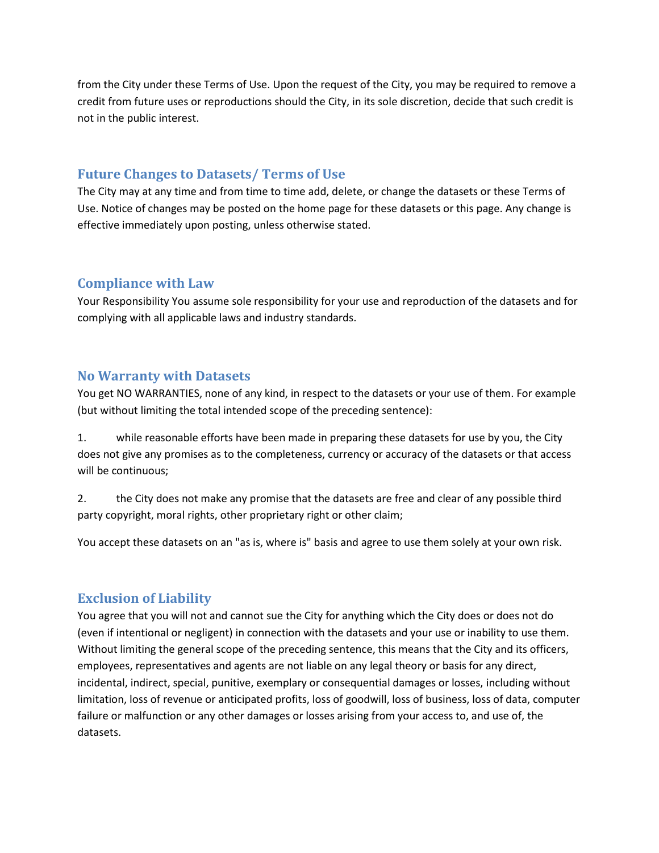from the City under these Terms of Use. Upon the request of the City, you may be required to remove a credit from future uses or reproductions should the City, in its sole discretion, decide that such credit is not in the public interest.

## **Future Changes to Datasets/ Terms of Use**

The City may at any time and from time to time add, delete, or change the datasets or these Terms of Use. Notice of changes may be posted on the home page for these datasets or this page. Any change is effective immediately upon posting, unless otherwise stated.

#### **Compliance with Law**

Your Responsibility You assume sole responsibility for your use and reproduction of the datasets and for complying with all applicable laws and industry standards.

### **No Warranty with Datasets**

You get NO WARRANTIES, none of any kind, in respect to the datasets or your use of them. For example (but without limiting the total intended scope of the preceding sentence):

1. while reasonable efforts have been made in preparing these datasets for use by you, the City does not give any promises as to the completeness, currency or accuracy of the datasets or that access will be continuous;

2. the City does not make any promise that the datasets are free and clear of any possible third party copyright, moral rights, other proprietary right or other claim;

You accept these datasets on an "as is, where is" basis and agree to use them solely at your own risk.

## **Exclusion of Liability**

You agree that you will not and cannot sue the City for anything which the City does or does not do (even if intentional or negligent) in connection with the datasets and your use or inability to use them. Without limiting the general scope of the preceding sentence, this means that the City and its officers, employees, representatives and agents are not liable on any legal theory or basis for any direct, incidental, indirect, special, punitive, exemplary or consequential damages or losses, including without limitation, loss of revenue or anticipated profits, loss of goodwill, loss of business, loss of data, computer failure or malfunction or any other damages or losses arising from your access to, and use of, the datasets.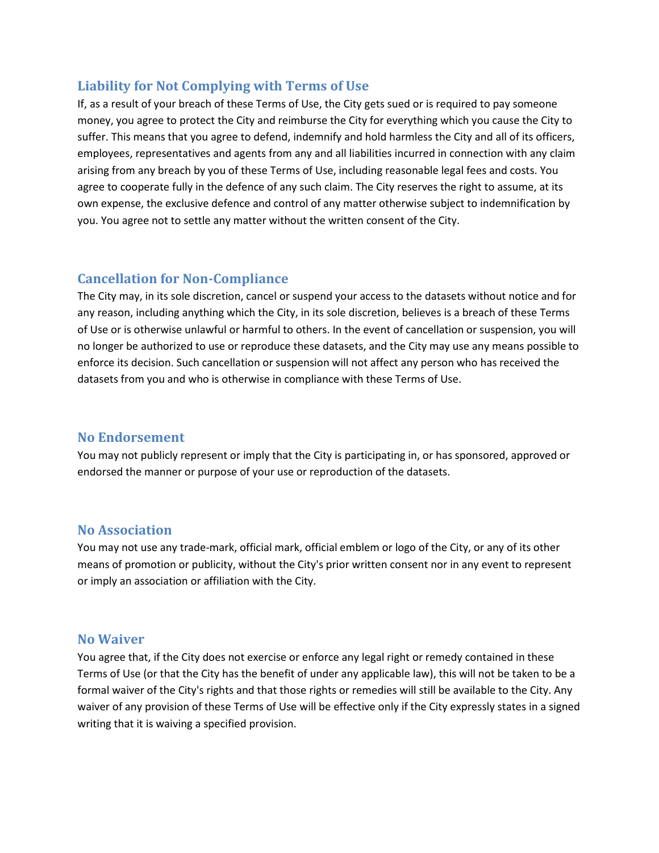## **Liability for Not Complying with Terms of Use**

If, as a result of your breach of these Terms of Use, the City gets sued or is required to pay someone money, you agree to protect the City and reimburse the City for everything which you cause the City to suffer. This means that you agree to defend, indemnify and hold harmless the City and all of its officers, employees, representatives and agents from any and all liabilities incurred in connection with any claim arising from any breach by you of these Terms of Use, including reasonable legal fees and costs. You agree to cooperate fully in the defence of any such claim. The City reserves the right to assume, at its own expense, the exclusive defence and control of any matter otherwise subject to indemnification by you. You agree not to settle any matter without the written consent of the City.

## **Cancellation for Non-Compliance**

The City may, in its sole discretion, cancel or suspend your access to the datasets without notice and for any reason, including anything which the City, in its sole discretion, believes is a breach of these Terms of Use or is otherwise unlawful or harmful to others. In the event of cancellation or suspension, you will no longer be authorized to use or reproduce these datasets, and the City may use any means possible to enforce its decision. Such cancellation or suspension will not affect any person who has received the datasets from you and who is otherwise in compliance with these Terms of Use.

## **No Endorsement**

You may not publicly represent or imply that the City is participating in, or has sponsored, approved or endorsed the manner or purpose of your use or reproduction of the datasets.

#### **No Association**

You may not use any trade-mark, official mark, official emblem or logo of the City, or any of its other means of promotion or publicity, without the City's prior written consent nor in any event to represent or imply an association or affiliation with the City.

#### **No Waiver**

You agree that, if the City does not exercise or enforce any legal right or remedy contained in these Terms of Use (or that the City has the benefit of under any applicable law), this will not be taken to be a formal waiver of the City's rights and that those rights or remedies will still be available to the City. Any waiver of any provision of these Terms of Use will be effective only if the City expressly states in a signed writing that it is waiving a specified provision.